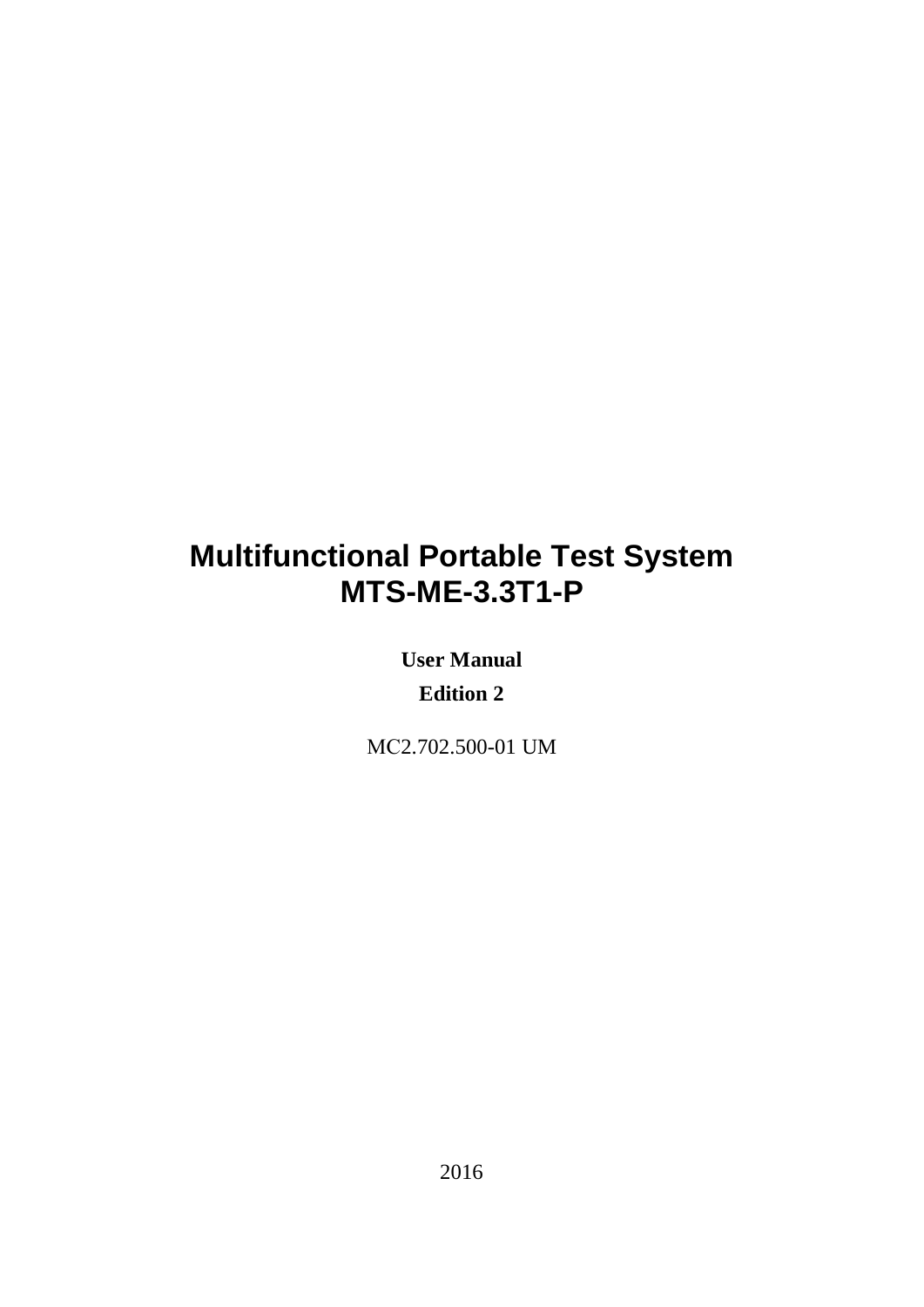# **Multifunctional Portable Test System MTS-ME-3.3T1-P**

**User Manual Edition 2**

МС2.702.500-01 UM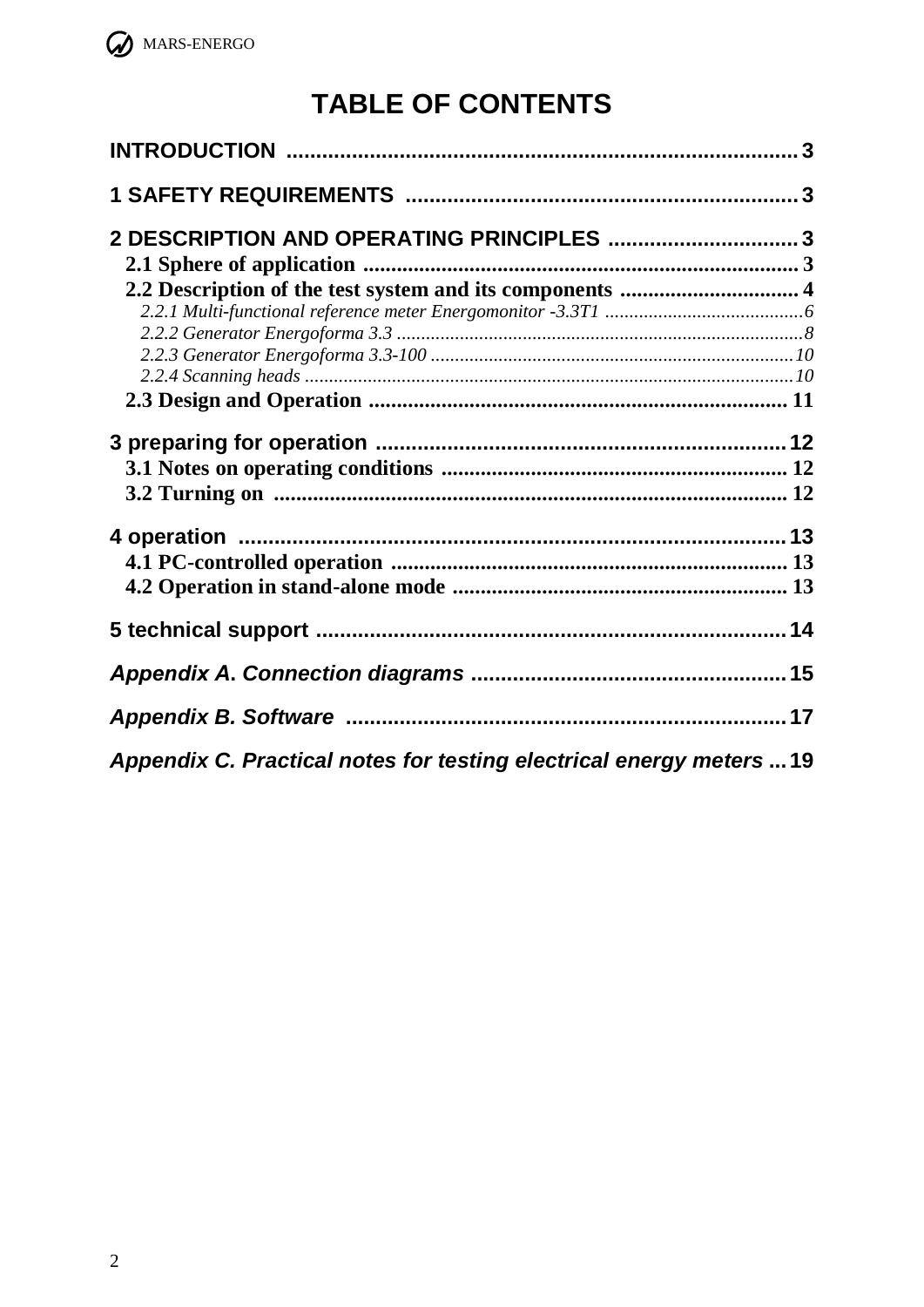

# **TABLE OF CONTENTS**

| 2 DESCRIPTION AND OPERATING PRINCIPLES  3                            |  |
|----------------------------------------------------------------------|--|
|                                                                      |  |
|                                                                      |  |
|                                                                      |  |
|                                                                      |  |
|                                                                      |  |
|                                                                      |  |
|                                                                      |  |
|                                                                      |  |
|                                                                      |  |
|                                                                      |  |
|                                                                      |  |
|                                                                      |  |
|                                                                      |  |
|                                                                      |  |
|                                                                      |  |
| Appendix C. Practical notes for testing electrical energy meters  19 |  |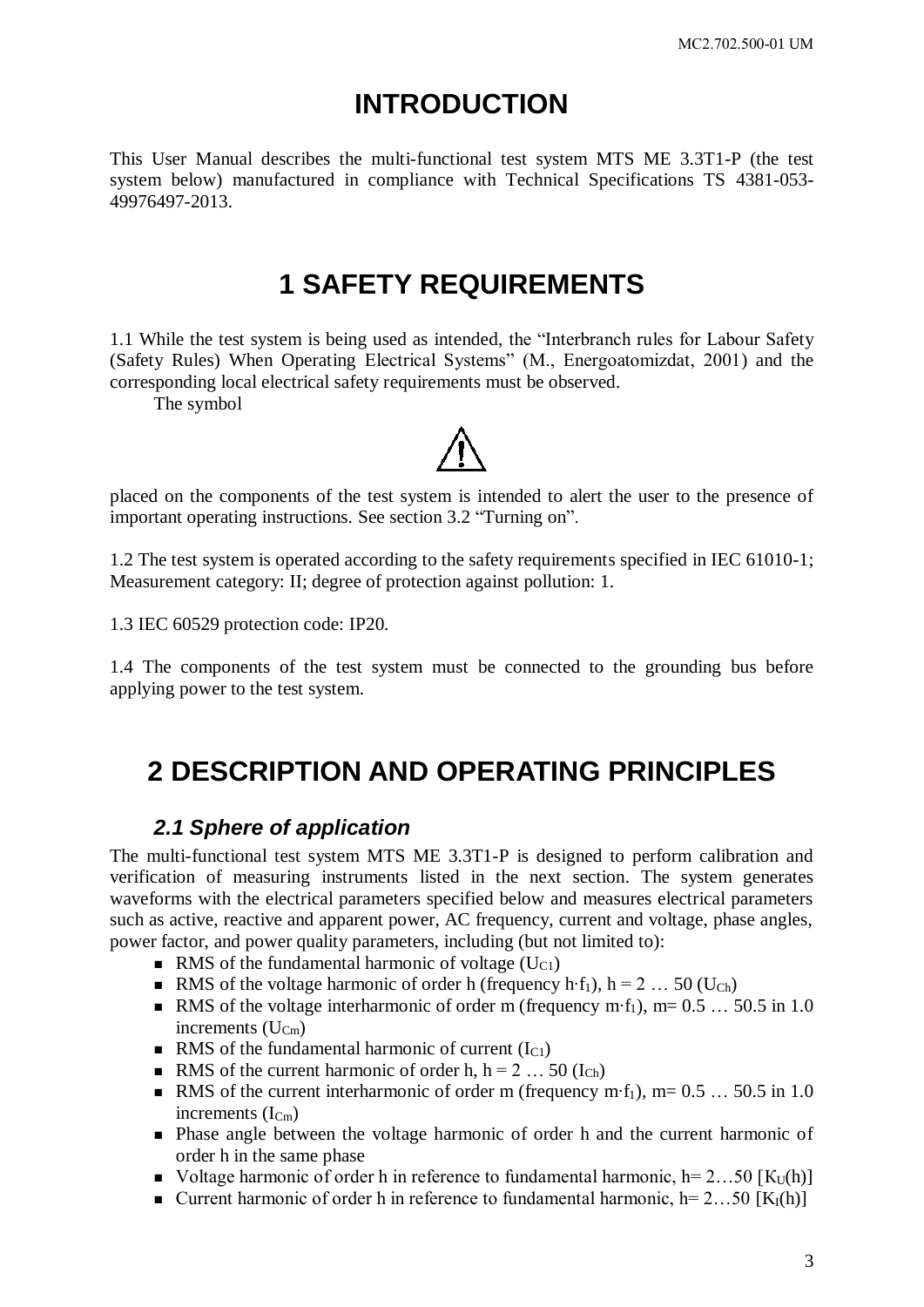# **INTRODUCTION**

<span id="page-2-1"></span><span id="page-2-0"></span>This User Manual describes the multi-functional test system MTS ME 3.3T1-P (the test system below) manufactured in compliance with Technical Specifications TS 4381-053- 49976497-2013.

## **1 SAFETY REQUIREMENTS**

1.1 While the test system is being used as intended, the "Interbranch rules for Labour Safety (Safety Rules) When Operating Electrical Systems" (M., Energoatomizdat, 2001) and the corresponding local electrical safety requirements must be observed.

The symbol



1.2 The test system is operated according to the safety requirements specified in IEC 61010-1; Measurement category: II; degree of protection against pollution: 1.

1.3 IEC 60529 protection code: IP20.

<span id="page-2-2"></span>1.4 The components of the test system must be connected to the grounding bus before applying power to the test system.

# **2 DESCRIPTION AND OPERATING PRINCIPLES**

### *2.1 Sphere of application*

<span id="page-2-3"></span>The multi-functional test system MTS ME 3.3T1-P is designed to perform calibration and verification of measuring instruments listed in the next section. The system generates waveforms with the electrical parameters specified below and measures electrical parameters such as active, reactive and apparent power, AC frequency, current and voltage, phase angles, power factor, and power quality parameters, including (but not limited to):

- RMS of the fundamental harmonic of voltage  $(U_{C1})$
- RMS of the voltage harmonic of order h (frequency h⋅f<sub>1</sub>), h = 2 … 50 (U<sub>Ch</sub>)
- RMS of the voltage interharmonic of order m (frequency m⋅f<sub>1</sub>), m=  $0.5$  …  $50.5$  in 1.0 increments  $(U_{Cm})$
- RMS of the fundamental harmonic of current  $(I<sub>C1</sub>)$
- RMS of the current harmonic of order h,  $h = 2 ... 50$  (I<sub>Ch</sub>)
- RMS of the current interharmonic of order m (frequency m⋅f<sub>1</sub>), m=  $0.5$  …  $50.5$  in 1.0 increments  $(I_{C_m})$
- Phase angle between the voltage harmonic of order h and the current harmonic of order h in the same phase
- Voltage harmonic of order h in reference to fundamental harmonic,  $h= 2...50$  [K<sub>U</sub>(h)]
- Current harmonic of order h in reference to fundamental harmonic,  $h= 2...50$  [K<sub>I</sub>(h)]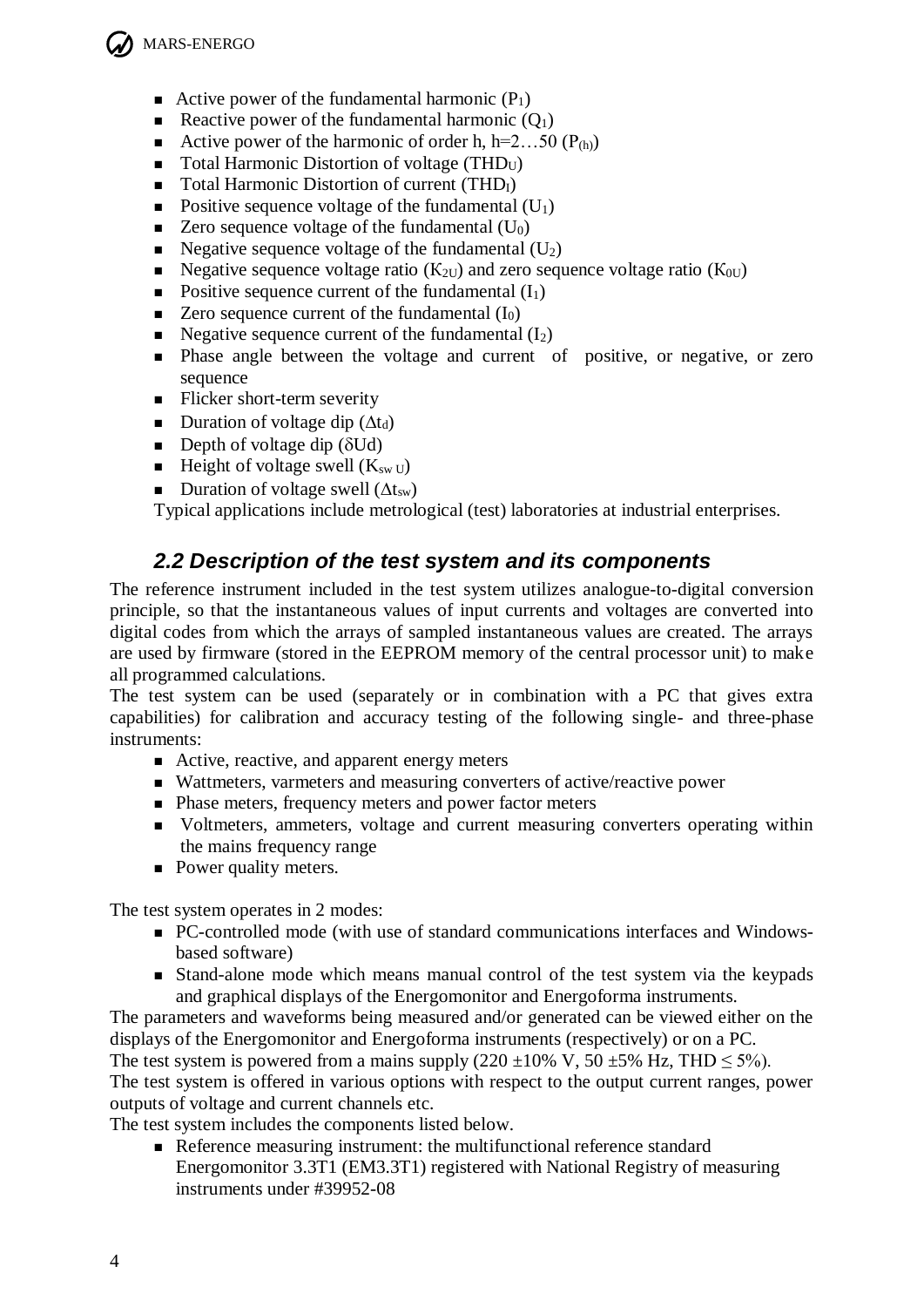

- Active power of the fundamental harmonic  $(P_1)$
- Reactive power of the fundamental harmonic  $(Q_1)$
- Active power of the harmonic of order h, h=2...50 ( $P_{(h)}$ )
- $\blacksquare$  Total Harmonic Distortion of voltage (THD<sub>U</sub>)
- $\blacksquare$  Total Harmonic Distortion of current (THD<sub>I</sub>)
- Positive sequence voltage of the fundamental  $(U_1)$
- $\blacksquare$  Zero sequence voltage of the fundamental (U<sub>0</sub>)
- Negative sequence voltage of the fundamental  $(U_2)$
- Negative sequence voltage ratio ( $K_{2U}$ ) and zero sequence voltage ratio ( $K_{0U}$ )
- Positive sequence current of the fundamental  $(I_1)$
- Zero sequence current of the fundamental  $(I_0)$
- Negative sequence current of the fundamental  $(I_2)$
- **Phase angle between the voltage and current of positive, or negative, or zero** sequence
- $\blacksquare$  Flicker short-term severity
- Duration of voltage dip  $(\Delta t_d)$
- Depth of voltage dip  $(\delta U d)$
- **Height of voltage swell (K<sub>sw U</sub>)**
- **Duration of voltage swell (** $\Delta t_{sw}$ **)**

<span id="page-3-0"></span>Typical applications include metrological (test) laboratories at industrial enterprises.

## *2.2 Description of the test system and its components*

The reference instrument included in the test system utilizes analogue-to-digital conversion principle, so that the instantaneous values of input currents and voltages are converted into digital codes from which the arrays of sampled instantaneous values are created. The arrays are used by firmware (stored in the EEPROM memory of the central processor unit) to make all programmed calculations.

The test system can be used (separately or in combination with a PC that gives extra capabilities) for calibration and accuracy testing of the following single- and three-phase instruments:

- Active, reactive, and apparent energy meters
- Wattmeters, varmeters and measuring converters of active/reactive power
- Phase meters, frequency meters and power factor meters
- Voltmeters, ammeters, voltage and current measuring converters operating within the mains frequency range
- Power quality meters.

The test system operates in 2 modes:

- PC-controlled mode (with use of standard communications interfaces and Windowsbased software)
- Stand-alone mode which means manual control of the test system via the keypads and graphical displays of the Energomonitor and Energoforma instruments.

The parameters and waveforms being measured and/or generated can be viewed either on the displays of the Energomonitor and Energoforma instruments (respectively) or on a PC.

The test system is powered from a mains supply  $(220 \pm 10\% \text{ V}, 50 \pm 5\% \text{ Hz}, \text{THD} \leq 5\%).$ 

The test system is offered in various options with respect to the output current ranges, power outputs of voltage and current channels etc.

The test system includes the components listed below.

Reference measuring instrument: the multifunctional reference standard Energomonitor 3.3T1 (EM3.3T1) registered with National Registry of measuring instruments under #39952-08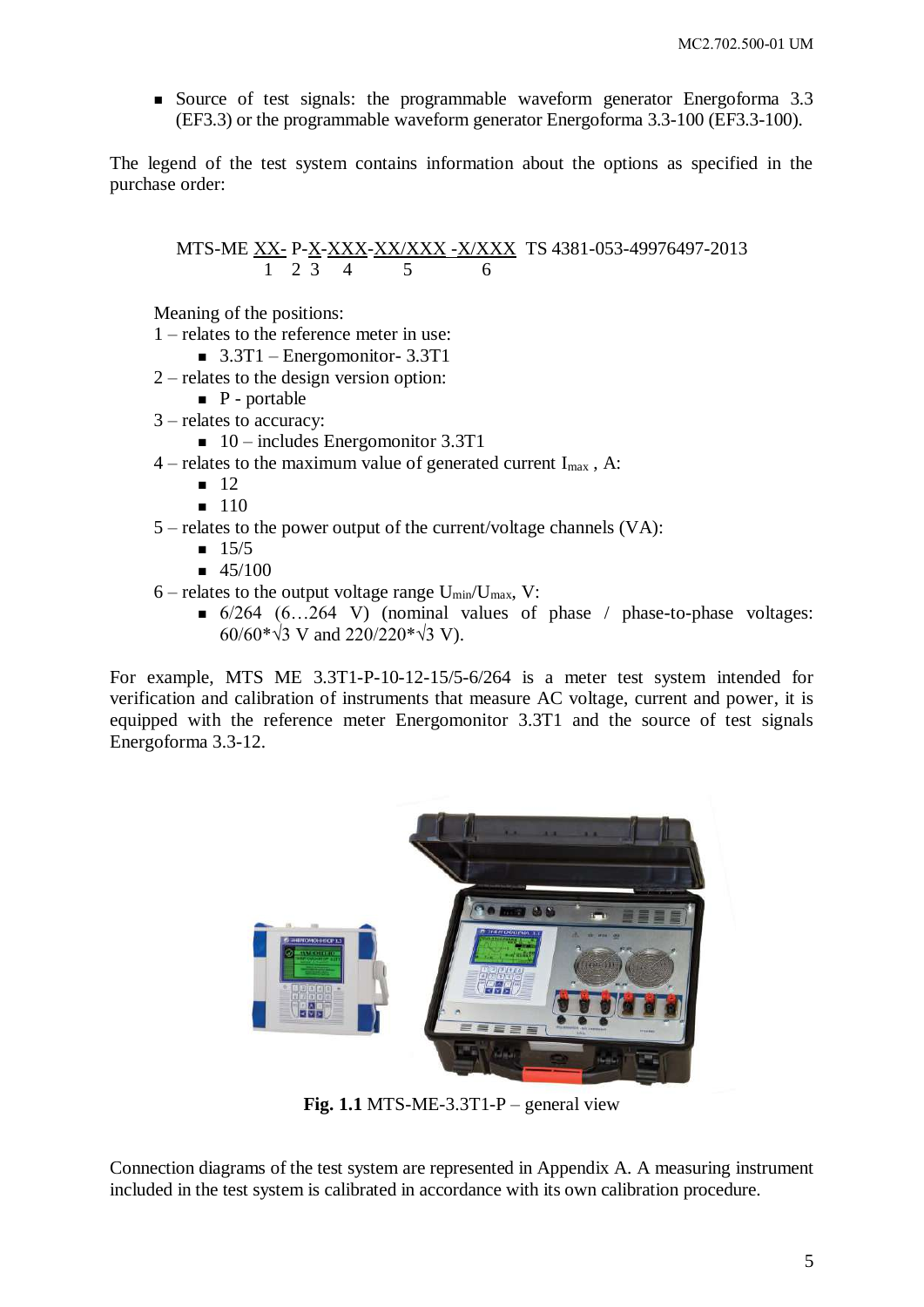Source of test signals: the programmable waveform generator Energoforma 3.3 (EF3.3) or the programmable waveform generator Energoforma 3.3-100 (EF3.3-100).

The legend of the test system contains information about the options as specified in the purchase order:

MTS-ME XX- P-X-XXX-XX/XXX -X/XXX TS 4381-053-49976497-2013 1 2 3 4 5 6

Meaning of the positions:

- 1 relates to the reference meter in use:
	- $\blacksquare$  3.3T1 Energomonitor- 3.3T1
- 2 relates to the design version option:
	- $\blacksquare$  P portable
- 3 relates to accuracy:
	- $\blacksquare$  10 includes Energomonitor 3.3T1
- 4 relates to the maximum value of generated current  $I_{max}$ , A:
	- $12$
	- $110$
- 5 relates to the power output of the current/voltage channels (VA):
	- $15/5$
	- $-45/100$
- $6$  relates to the output voltage range  $U_{min}/U_{max}$ , V:
	- $\bullet$  6/264 (6...264 V) (nominal values of phase / phase-to-phase voltages: 60/60\*√3 V and 220/220\*√3 V).

For example, MTS ME 3.3T1-P-10-12-15/5-6/264 is a meter test system intended for verification and calibration of instruments that measure AC voltage, current and power, it is equipped with the reference meter Energomonitor 3.3T1 and the source of test signals Energoforma 3.3-12.



**Fig. 1.1** MTS-ME-3.3T1-P – general view

Connection diagrams of the test system are represented in Appendix A. A measuring instrument included in the test system is calibrated in accordance with its own calibration procedure.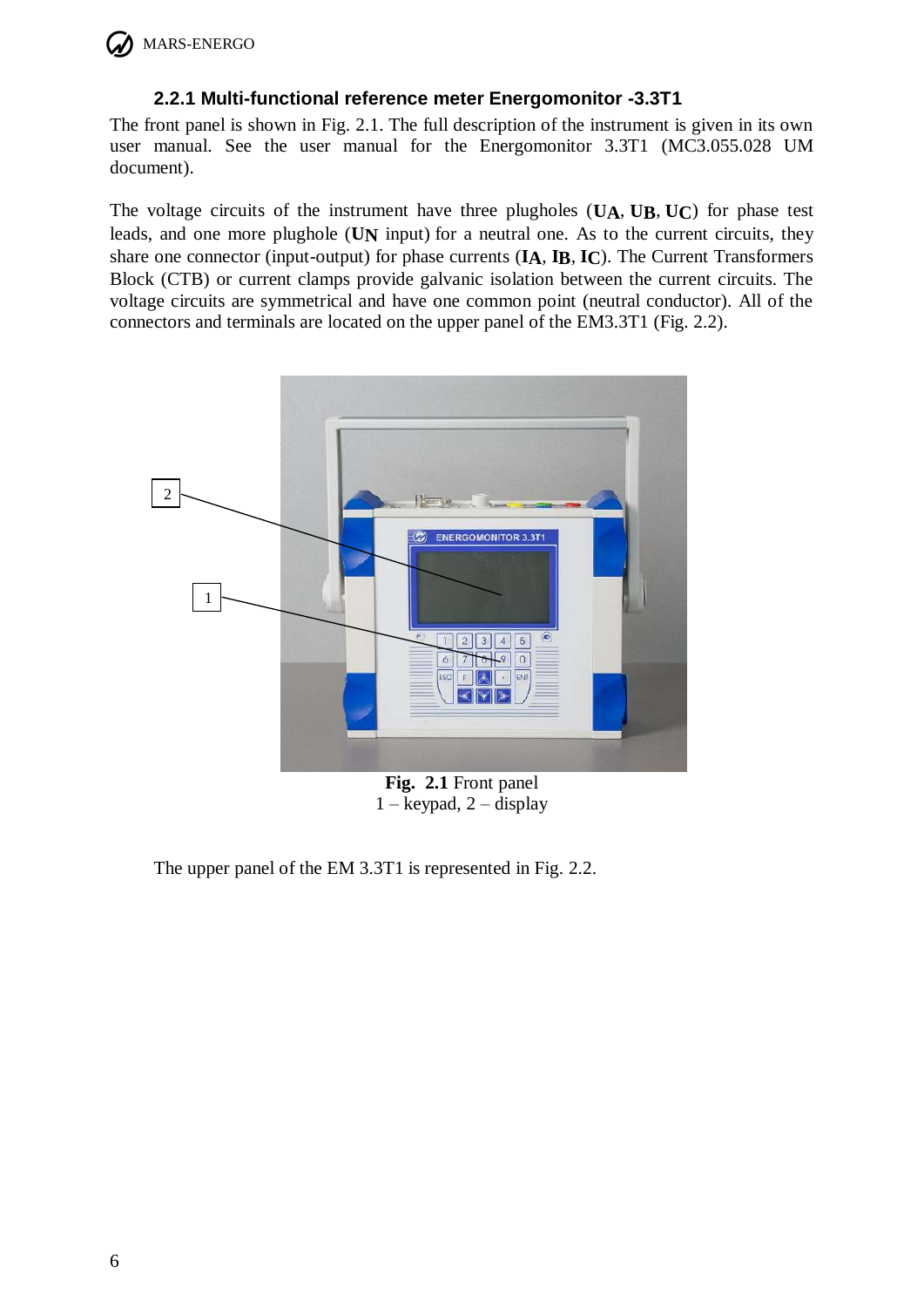

### **2.2.1 Multi-functional reference meter Energomonitor -3.3T1**

<span id="page-5-0"></span>The front panel is shown in Fig. 2.1. The full description of the instrument is given in its own user manual. See the user manual for the Energomonitor 3.3T1 (MC3.055.028 UM document).

The voltage circuits of the instrument have three plugholes (**UA**, **UB**, **UC**) for phase test leads, and one more plughole (**UN** input) for a neutral one. As to the current circuits, they share one connector (input-output) for phase currents (**IA**, **IB**, **IC**). The Current Transformers Block (CTB) or current clamps provide galvanic isolation between the current circuits. The voltage circuits are symmetrical and have one common point (neutral conductor). All of the connectors and terminals are located on the upper panel of the EM3.3T1 (Fig. 2.2).



**Fig. 2.1** Front panel  $1 -$  keypad,  $2 -$  display

The upper panel of the EM 3.3T1 is represented in Fig. 2.2.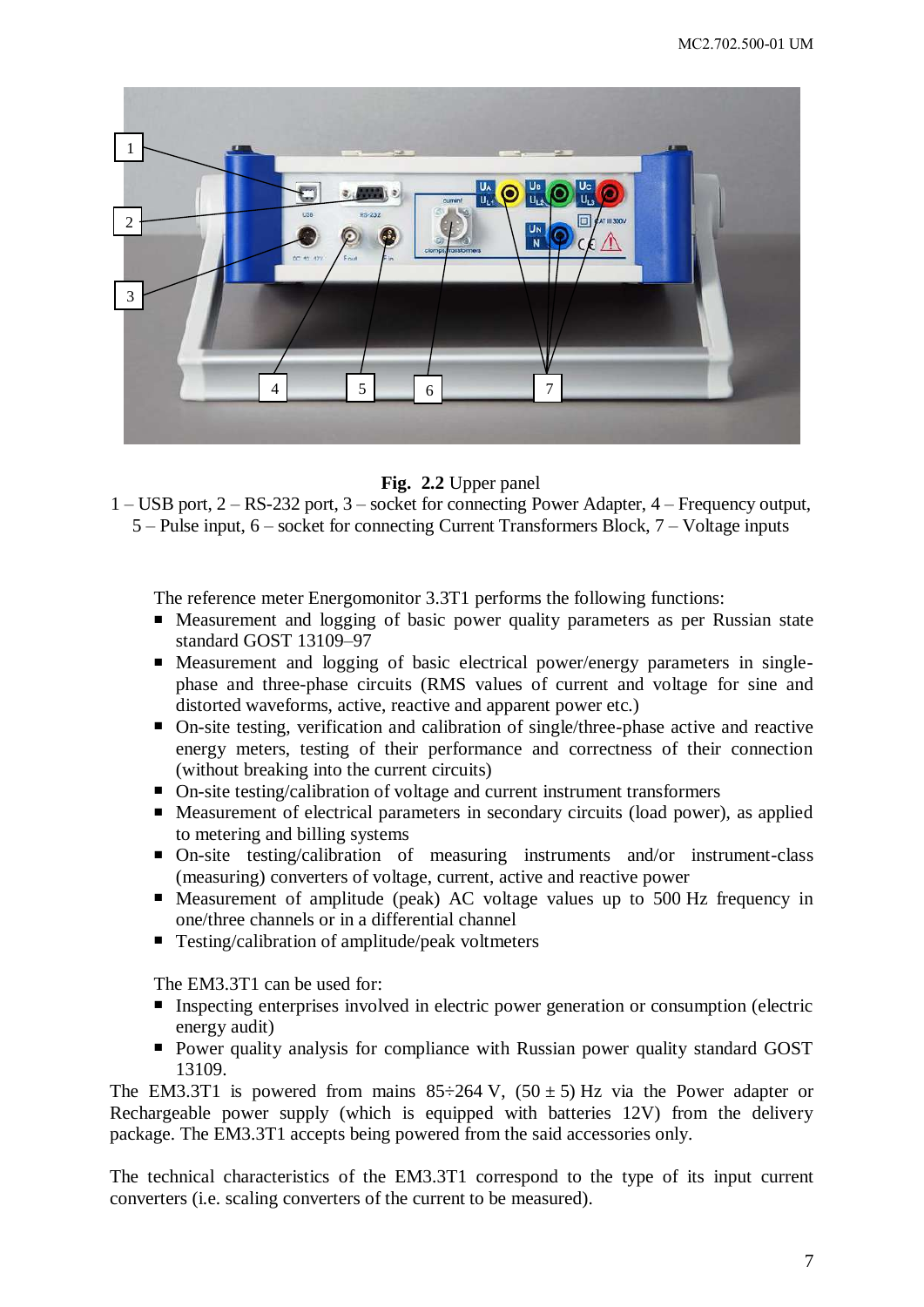

**Fig. 2.2** Upper panel

1 – USB port, 2 – RS-232 port, 3 – socket for connecting Power Adapter, 4 – Frequency output, 5 – Pulse input, 6 – socket for connecting Current Transformers Block, 7 – Voltage inputs

The reference meter Energomonitor 3.3T1 performs the following functions:

- Measurement and logging of basic power quality parameters as per Russian state standard GOST 13109–97
- Measurement and logging of basic electrical power/energy parameters in singlephase and three-phase circuits (RMS values of current and voltage for sine and distorted waveforms, active, reactive and apparent power etc.)
- On-site testing, verification and calibration of single/three-phase active and reactive energy meters, testing of their performance and correctness of their connection (without breaking into the current circuits)
- On-site testing/calibration of voltage and current instrument transformers
- Measurement of electrical parameters in secondary circuits (load power), as applied to metering and billing systems
- On-site testing/calibration of measuring instruments and/or instrument-class (measuring) converters of voltage, current, active and reactive power
- Measurement of amplitude (peak) AC voltage values up to 500 Hz frequency in one/three channels or in a differential channel
- Testing/calibration of amplitude/peak voltmeters

The EM3.3T1 can be used for:

- Inspecting enterprises involved in electric power generation or consumption (electric energy audit)
- **Power quality analysis for compliance with Russian power quality standard GOST** 13109.

The EM3.3T1 is powered from mains  $85\div 264$  V,  $(50\pm 5)$  Hz via the Power adapter or Rechargeable power supply (which is equipped with batteries 12V) from the delivery package. The EM3.3T1 accepts being powered from the said accessories only.

The technical characteristics of the EM3.3T1 correspond to the type of its input current converters (i.e. scaling converters of the current to be measured).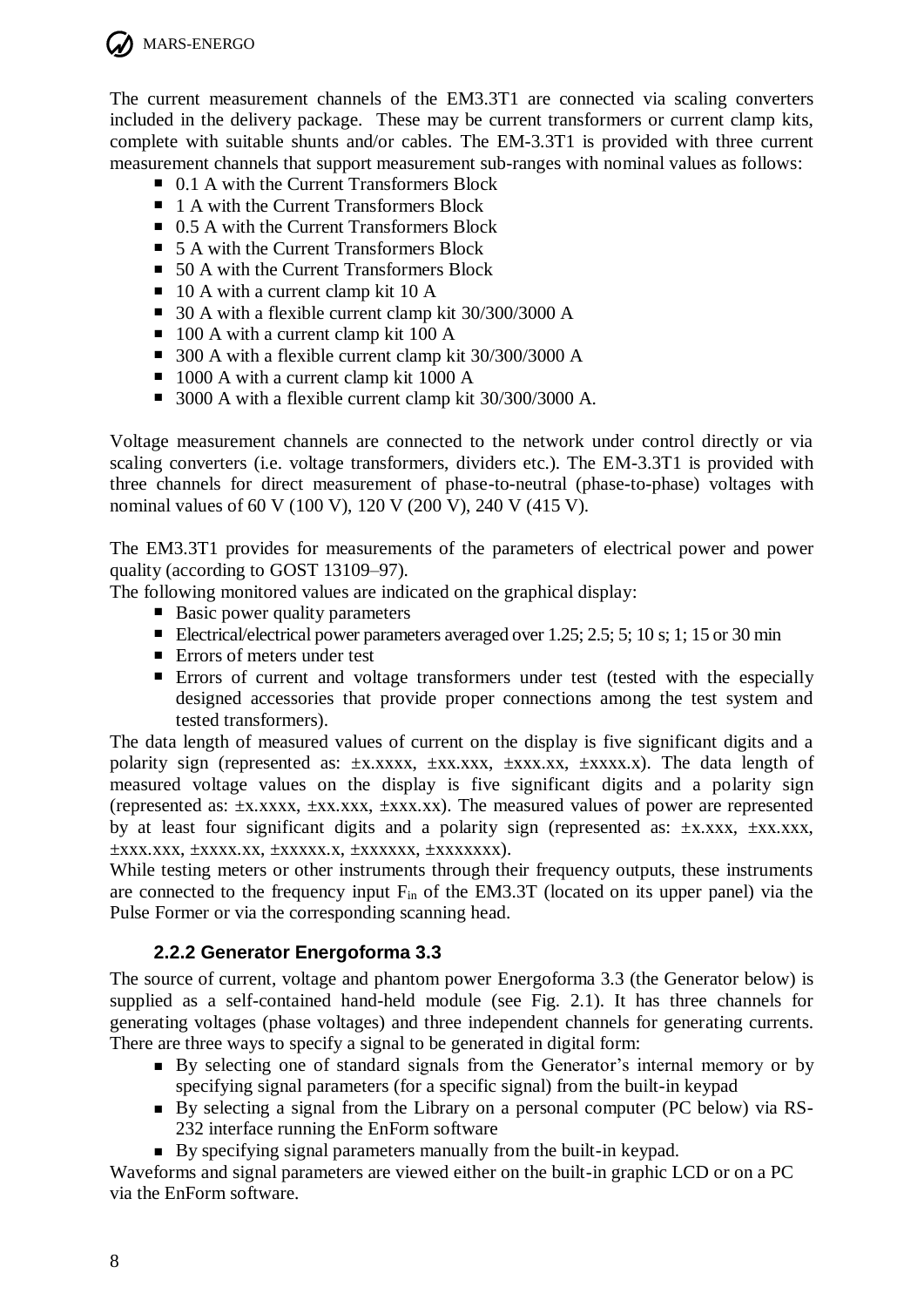

MARS-ENERGO

The current measurement channels of the EM3.3T1 are connected via scaling converters included in the delivery package. These may be current transformers or current clamp kits, complete with suitable shunts and/or cables. The EM-3.3T1 is provided with three current measurement channels that support measurement sub-ranges with nominal values as follows:

- 0.1 A with the Current Transformers Block
- 1 A with the Current Transformers Block
- 0.5 A with the Current Transformers Block
- 5 A with the Current Transformers Block
- 50 A with the Current Transformers Block
- $\blacksquare$  10 A with a current clamp kit 10 A
- 30 A with a flexible current clamp kit 30/300/3000 A
- $\blacksquare$  100 A with a current clamp kit 100 A
- 300 A with a flexible current clamp kit 30/300/3000 A
- 1000 A with a current clamp kit 1000 A
- 3000 A with a flexible current clamp kit 30/300/3000 A.

Voltage measurement channels are connected to the network under control directly or via scaling converters (i.e. voltage transformers, dividers etc.). The EМ-3.3Т1 is provided with three channels for direct measurement of phase-to-neutral (phase-to-phase) voltages with nominal values of 60 V (100 V), 120 V (200 V), 240 V (415 V).

The EM3.3T1 provides for measurements of the parameters of electrical power and power quality (according to GOST 13109–97).

The following monitored values are indicated on the graphical display:

- $\blacksquare$  Basic power quality parameters
- Electrical/electrical power parameters averaged over 1.25; 2.5; 5; 10 s; 1; 15 or 30 min
- Errors of meters under test
- Errors of current and voltage transformers under test (tested with the especially designed accessories that provide proper connections among the test system and tested transformers).

The data length of measured values of current on the display is five significant digits and a polarity sign (represented as:  $\pm$ х.хххх,  $\pm$ хх.ххх,  $\pm$ ххх.хх,  $\pm$ хххх.х). The data length of measured voltage values on the display is five significant digits and a polarity sign (represented as: ±х.хххх, ±хх.ххх, ±ххх.хх). The measured values of power are represented by at least four significant digits and a polarity sign (represented as: ±x,xxx, ±xx,xxx, ±ххх.ххх, ±хххх.хх, ±ххххх.х, ±хххххх, ±ххххххх).

While testing meters or other instruments through their frequency outputs, these instruments are connected to the frequency input  $F_{in}$  of the EM3.3T (located on its upper panel) via the Pulse Former or via the corresponding scanning head.

## **2.2.2 Generator Energoforma 3.3**

<span id="page-7-0"></span>The source of current, voltage and phantom power Energoforma 3.3 (the Generator below) is supplied as a self-contained hand-held module (see Fig. 2.1). It has three channels for generating voltages (phase voltages) and three independent channels for generating currents. There are three ways to specify a signal to be generated in digital form:

- By selecting one of standard signals from the Generator's internal memory or by specifying signal parameters (for a specific signal) from the built-in keypad
- By selecting a signal from the Library on a personal computer (PC below) via RS-232 interface running the EnForm software
- By specifying signal parameters manually from the built-in keypad.

Waveforms and signal parameters are viewed either on the built-in graphic LCD or on a PC via the EnForm software.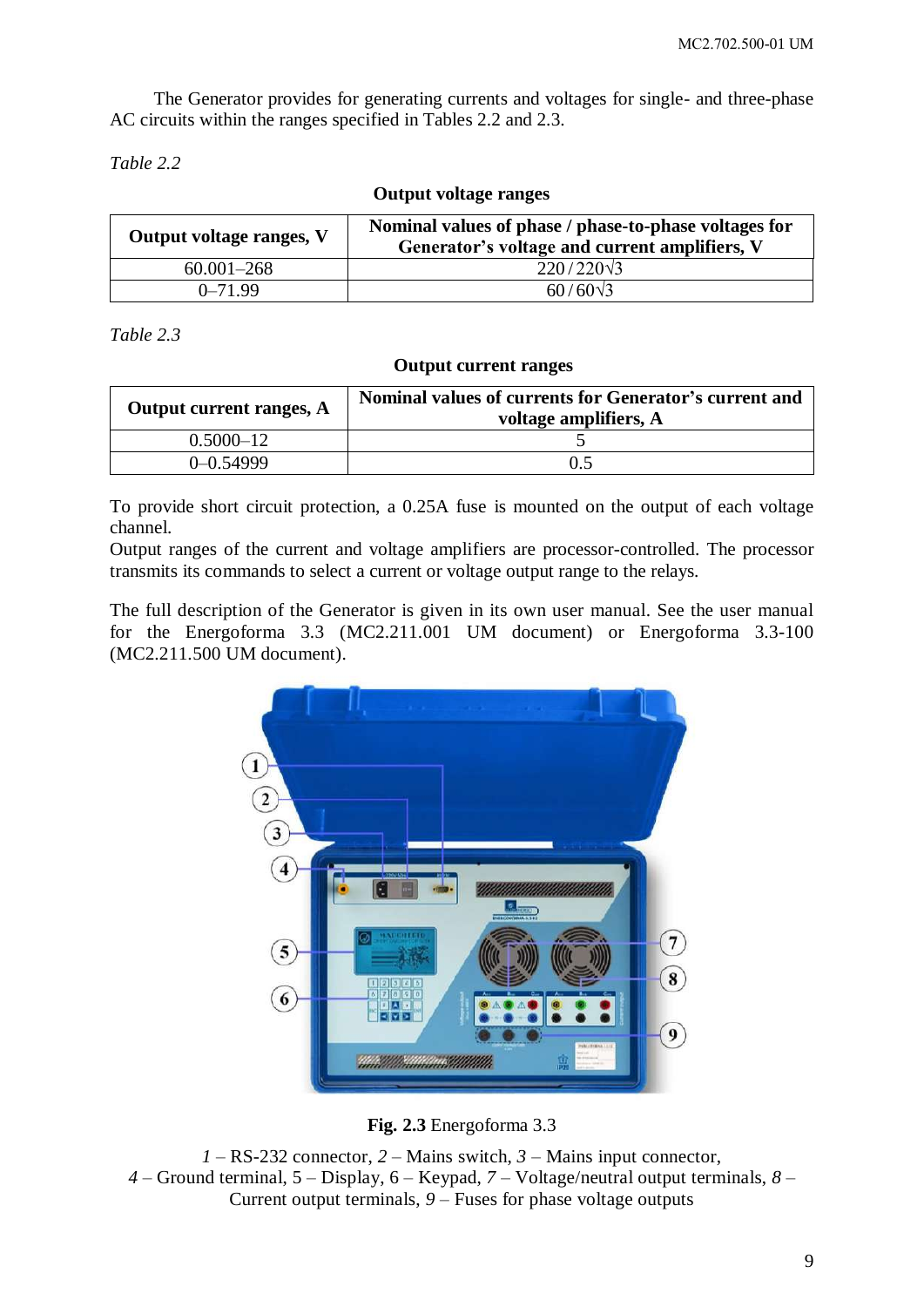The Generator provides for generating currents and voltages for single- and three-phase AC circuits within the ranges specified in Tables 2.2 and 2.3.

*Table 2.2*

**Output voltage ranges**

| Output voltage ranges, V | Nominal values of phase / phase-to-phase voltages for<br>Generator's voltage and current amplifiers, V |
|--------------------------|--------------------------------------------------------------------------------------------------------|
| $60.001 - 268$           | $220/220\sqrt{3}$                                                                                      |
| $0 - 71.99$              | $60/60\sqrt{3}$                                                                                        |

*Table 2.3*

#### **Output current ranges**

| Output current ranges, A | Nominal values of currents for Generator's current and<br>voltage amplifiers, A |
|--------------------------|---------------------------------------------------------------------------------|
| $0.5000 - 12$            |                                                                                 |
| $0 - 0.54999$            |                                                                                 |

To provide short circuit protection, a 0.25A fuse is mounted on the output of each voltage channel.

Output ranges of the current and voltage amplifiers are processor-controlled. The processor transmits its commands to select a current or voltage output range to the relays.

The full description of the Generator is given in its own user manual. See the user manual for the Energoforma 3.3 (MC2.211.001 UM document) or Energoforma 3.3-100 (MC2.211.500 UM document).



**Fig. 2.3** Energoforma 3.3

*1* – RS-232 connector, *2* – Mains switch, *3* – Mains input connector, *4* – Ground terminal, 5 – Display, 6 – Keypad, *7* – Voltage/neutral output terminals, *8* – Current output terminals, *9* – Fuses for phase voltage outputs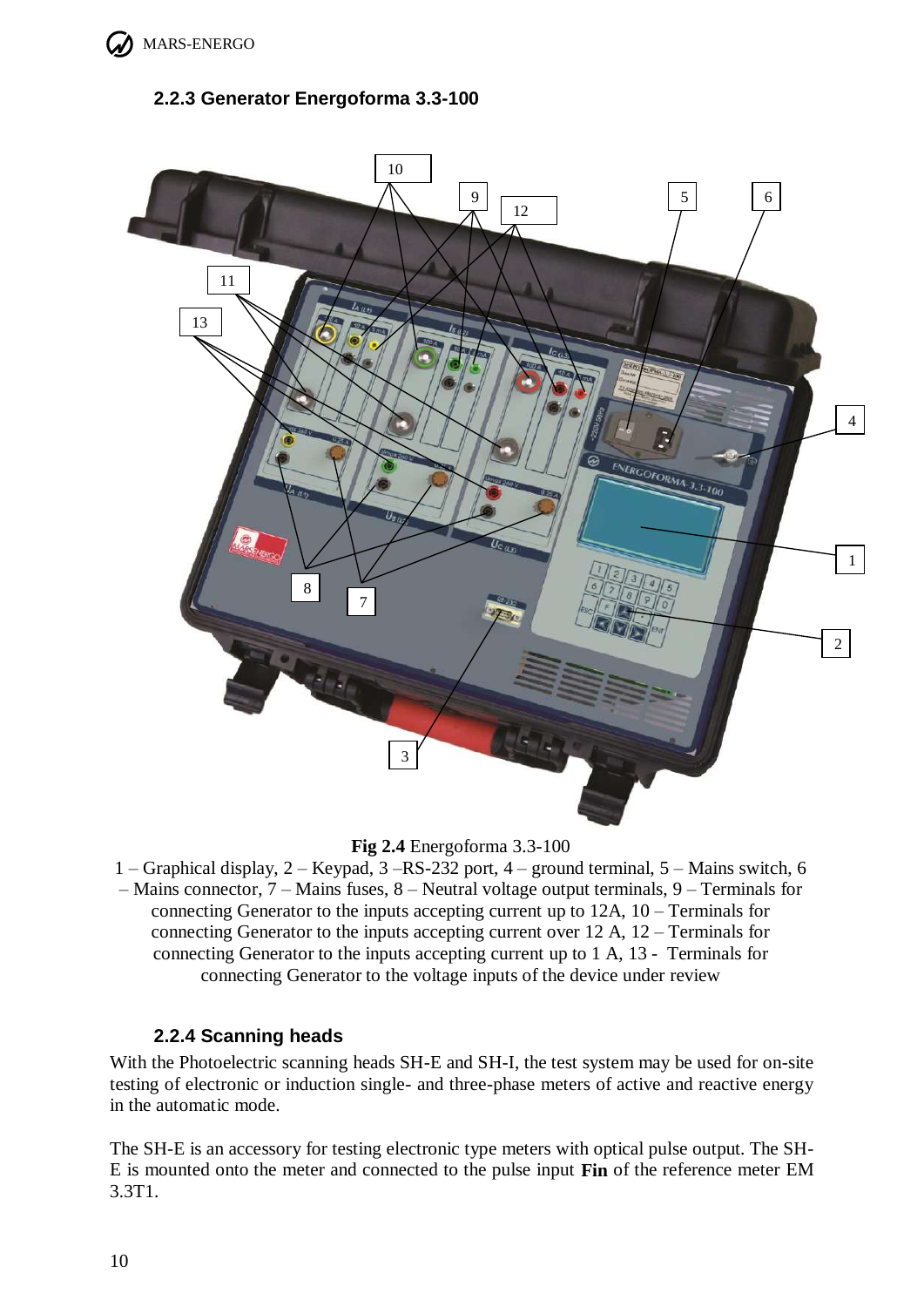

## <span id="page-9-0"></span>**2.2.3 Generator Energoforma 3.3-100**



**Fig 2.4** Energoforma 3.3-100

1 – Graphical display, 2 – Keypad, 3 –RS-232 port, 4 – ground terminal, 5 – Mains switch, 6

– Mains connector, 7 – Mains fuses, 8 – Neutral voltage output terminals, 9 – Terminals for connecting Generator to the inputs accepting current up to 12A, 10 – Terminals for connecting Generator to the inputs accepting current over 12 A, 12 – Terminals for connecting Generator to the inputs accepting current up to 1 A, 13 - Terminals for connecting Generator to the voltage inputs of the device under review

### **2.2.4 Scanning heads**

<span id="page-9-1"></span>With the Photoelectric scanning heads SH-E and SH-I, the test system may be used for on-site testing of electronic or induction single- and three-phase meters of active and reactive energy in the automatic mode.

The SH-E is an accessory for testing electronic type meters with optical pulse output. The SH-E is mounted onto the meter and connected to the pulse input **Fin** of the reference meter EM 3.3T1.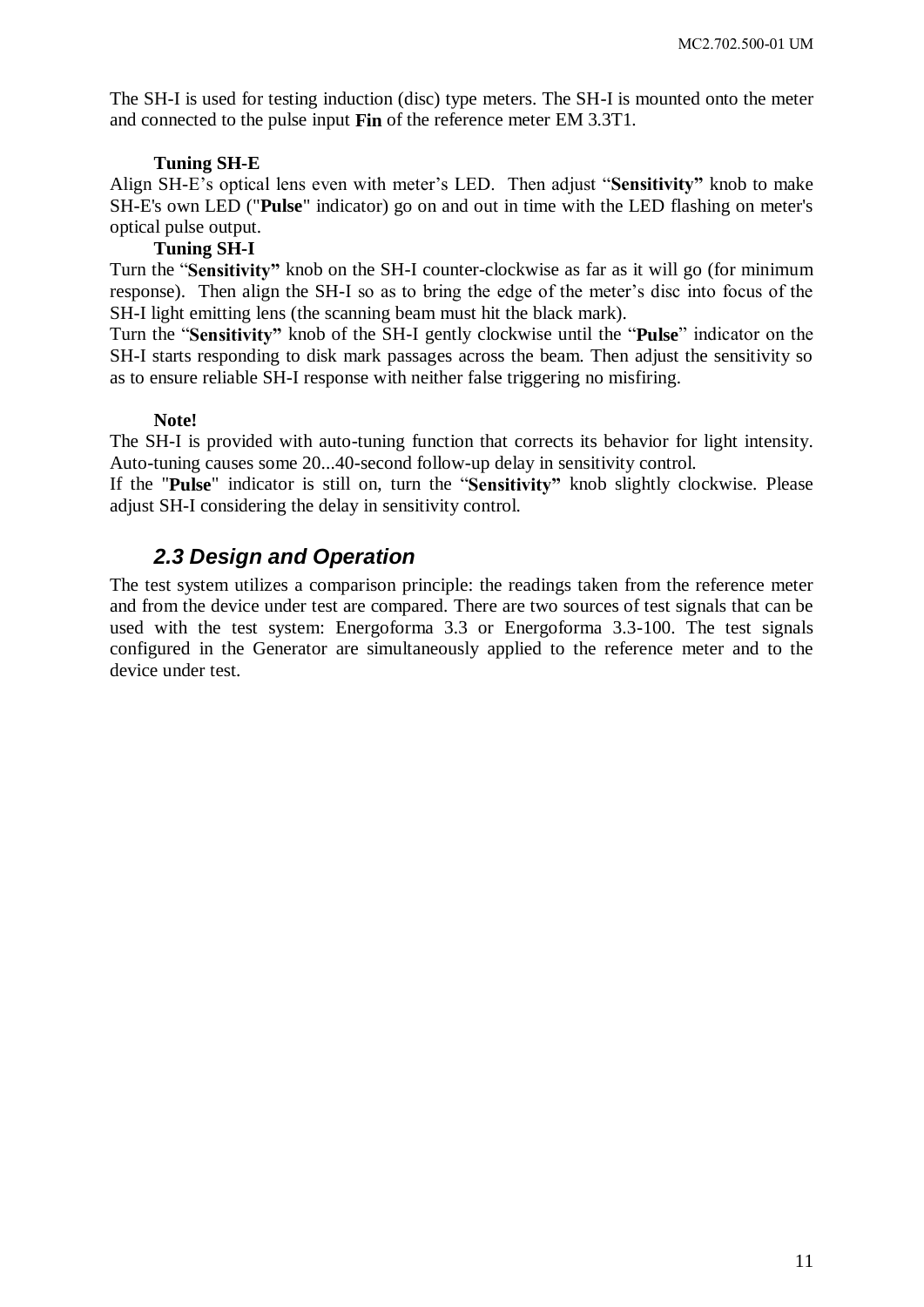The SH-I is used for testing induction (disc) type meters. The SH-I is mounted onto the meter and connected to the pulse input **Fin** of the reference meter EM 3.3T1.

#### **Tuning SH-E**

Align SH-E's optical lens even with meter's LED. Then adjust "**Sensitivity"** knob to make SH-E's own LED ("**Pulse**" indicator) go on and out in time with the LED flashing on meter's optical pulse output.

#### **Tuning SH-I**

Turn the "**Sensitivity"** knob on the SH-I counter-clockwise as far as it will go (for minimum response). Then align the SH-I so as to bring the edge of the meter's disc into focus of the SH-I light emitting lens (the scanning beam must hit the black mark).

Turn the "**Sensitivity"** knob of the SH-I gently clockwise until the "**Pulse**" indicator on the SH-I starts responding to disk mark passages across the beam. Then adjust the sensitivity so as to ensure reliable SH-I response with neither false triggering no misfiring.

#### **Note!**

The SH-I is provided with auto-tuning function that corrects its behavior for light intensity. Auto-tuning causes some 20...40-second follow-up delay in sensitivity control.

<span id="page-10-0"></span>If the "**Pulse**" indicator is still on, turn the "**Sensitivity"** knob slightly clockwise. Please adjust SH-I considering the delay in sensitivity control.

## *2.3 Design and Operation*

The test system utilizes a comparison principle: the readings taken from the reference meter and from the device under test are compared. There are two sources of test signals that can be used with the test system: Energoforma 3.3 or Energoforma 3.3-100. The test signals configured in the Generator are simultaneously applied to the reference meter and to the device under test.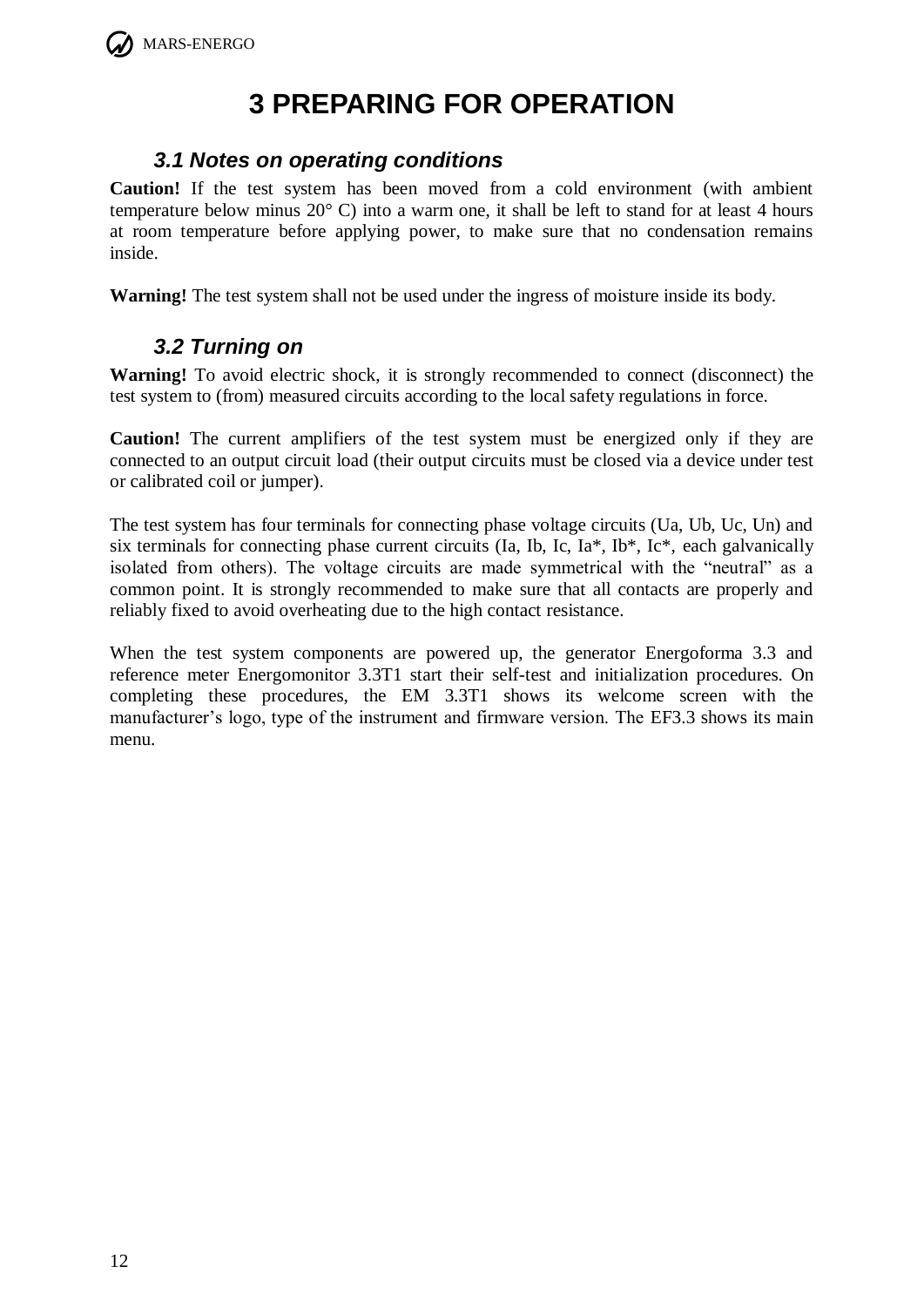# **3 PREPARING FOR OPERATION**

## <span id="page-11-0"></span>*3.1 Notes on operating conditions*

<span id="page-11-1"></span>**Caution!** If the test system has been moved from a cold environment (with ambient temperature below minus 20° C) into a warm one, it shall be left to stand for at least 4 hours at room temperature before applying power, to make sure that no condensation remains inside.

<span id="page-11-2"></span>**Warning!** The test system shall not be used under the ingress of moisture inside its body.

## *3.2 Turning on*

**Warning!** To avoid electric shock, it is strongly recommended to connect (disconnect) the test system to (from) measured circuits according to the local safety regulations in force.

**Caution!** The current amplifiers of the test system must be energized only if they are connected to an output circuit load (their output circuits must be closed via a device under test or calibrated coil or jumper).

The test system has four terminals for connecting phase voltage circuits (Ua, Ub, Uc, Un) and six terminals for connecting phase current circuits (Ia, Ib, Ic, Ia\*, Ib\*, Ic\*, each galvanically isolated from others). The voltage circuits are made symmetrical with the "neutral" as a common point. It is strongly recommended to make sure that all contacts are properly and reliably fixed to avoid overheating due to the high contact resistance.

When the test system components are powered up, the generator Energoforma 3.3 and reference meter Energomonitor 3.3T1 start their self-test and initialization procedures. On completing these procedures, the EM 3.3T1 shows its welcome screen with the manufacturer's logo, type of the instrument and firmware version. The EF3.3 shows its main menu.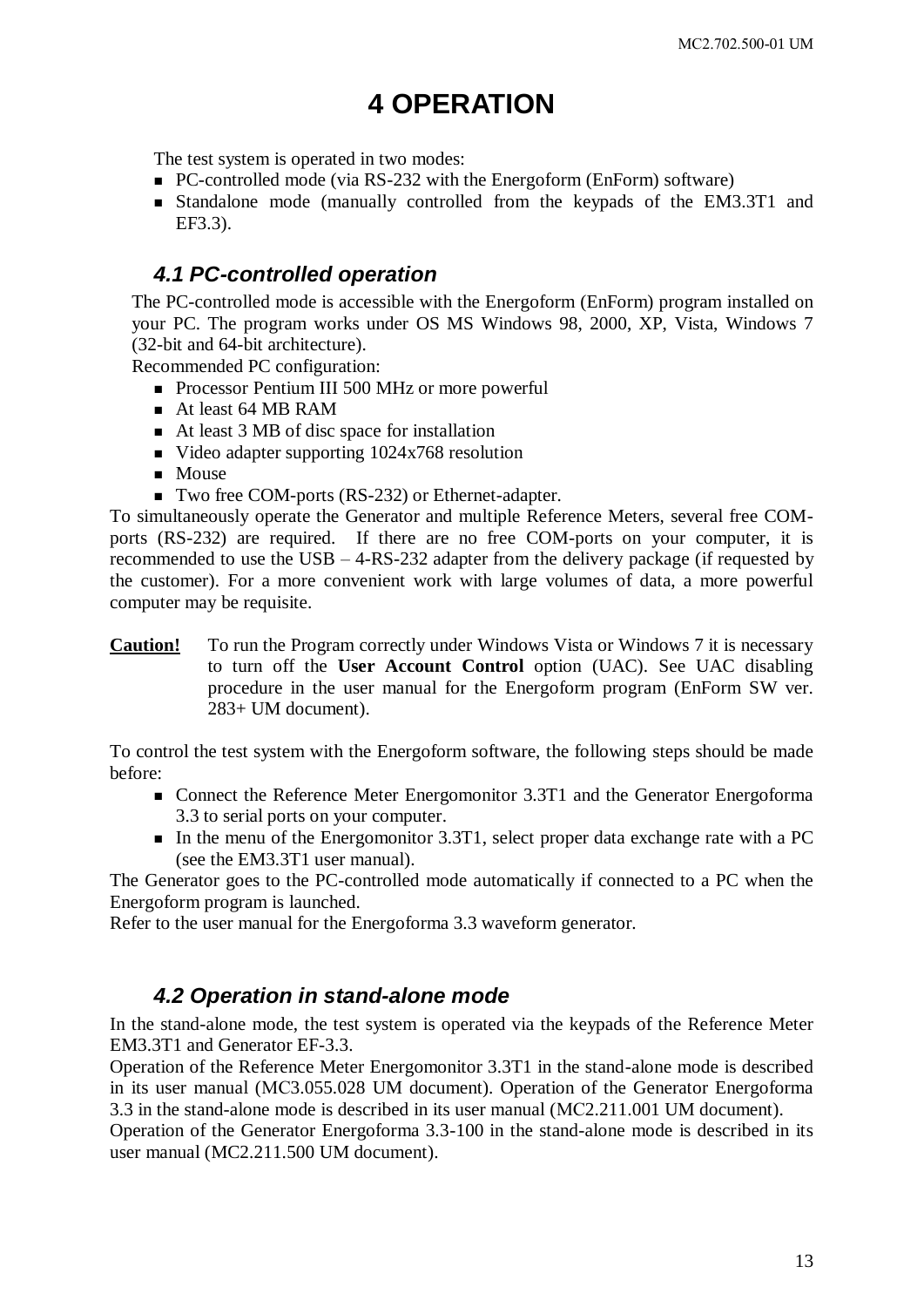# **4 OPERATION**

<span id="page-12-0"></span>The test system is operated in two modes:

- PC-controlled mode (via RS-232 with the Energoform (EnForm) software)
- Standalone mode (manually controlled from the keypads of the EM3.3T1 and EF3.3).

## <span id="page-12-1"></span>*4.1 PC-controlled operation*

The PC-controlled mode is accessible with the Energoform (EnForm) program installed on your PC. The program works under OS MS Windows 98, 2000, XP, Vista, Windows 7 (32-bit and 64-bit architecture).

Recommended PC configuration:

- Processor Pentium III 500 MHz or more powerful
- At least 64 MB RAM
- At least 3 MB of disc space for installation
- $\blacksquare$  Video adapter supporting 1024x768 resolution
- **Mouse**
- Two free COM-ports (RS-232) or Ethernet-adapter.

To simultaneously operate the Generator and multiple Reference Meters, several free COMports (RS-232) are required. If there are no free COM-ports on your computer, it is recommended to use the USB – 4-RS-232 adapter from the delivery package (if requested by the customer). For a more convenient work with large volumes of data, a more powerful computer may be requisite.

**Caution!** To run the Program correctly under Windows Vista or Windows 7 it is necessary to turn off the **User Account Control** option (UAC). See UAC disabling procedure in the user manual for the Energoform program (EnForm SW ver. 283+ UM document).

To control the test system with the Energoform software, the following steps should be made before:

- Connect the Reference Meter Energomonitor 3.3T1 and the Generator Energoforma 3.3 to serial ports on your computer.
- In the menu of the Energomonitor 3.3T1, select proper data exchange rate with a PC (see the EM3.3T1 user manual).

The Generator goes to the PC-controlled mode automatically if connected to a PC when the Energoform program is launched.

<span id="page-12-2"></span>Refer to the user manual for the Energoforma 3.3 waveform generator.

## *4.2 Operation in stand-alone mode*

In the stand-alone mode, the test system is operated via the keypads of the Reference Meter EM3.3T1 and Generator EF-3.3.

Operation of the Reference Meter Energomonitor 3.3T1 in the stand-alone mode is described in its user manual (МС3.055.028 UM document). Operation of the Generator Energoforma 3.3 in the stand-alone mode is described in its user manual (МС2.211.001 UM document).

Operation of the Generator Energoforma 3.3-100 in the stand-alone mode is described in its user manual (MC2.211.500 UM document).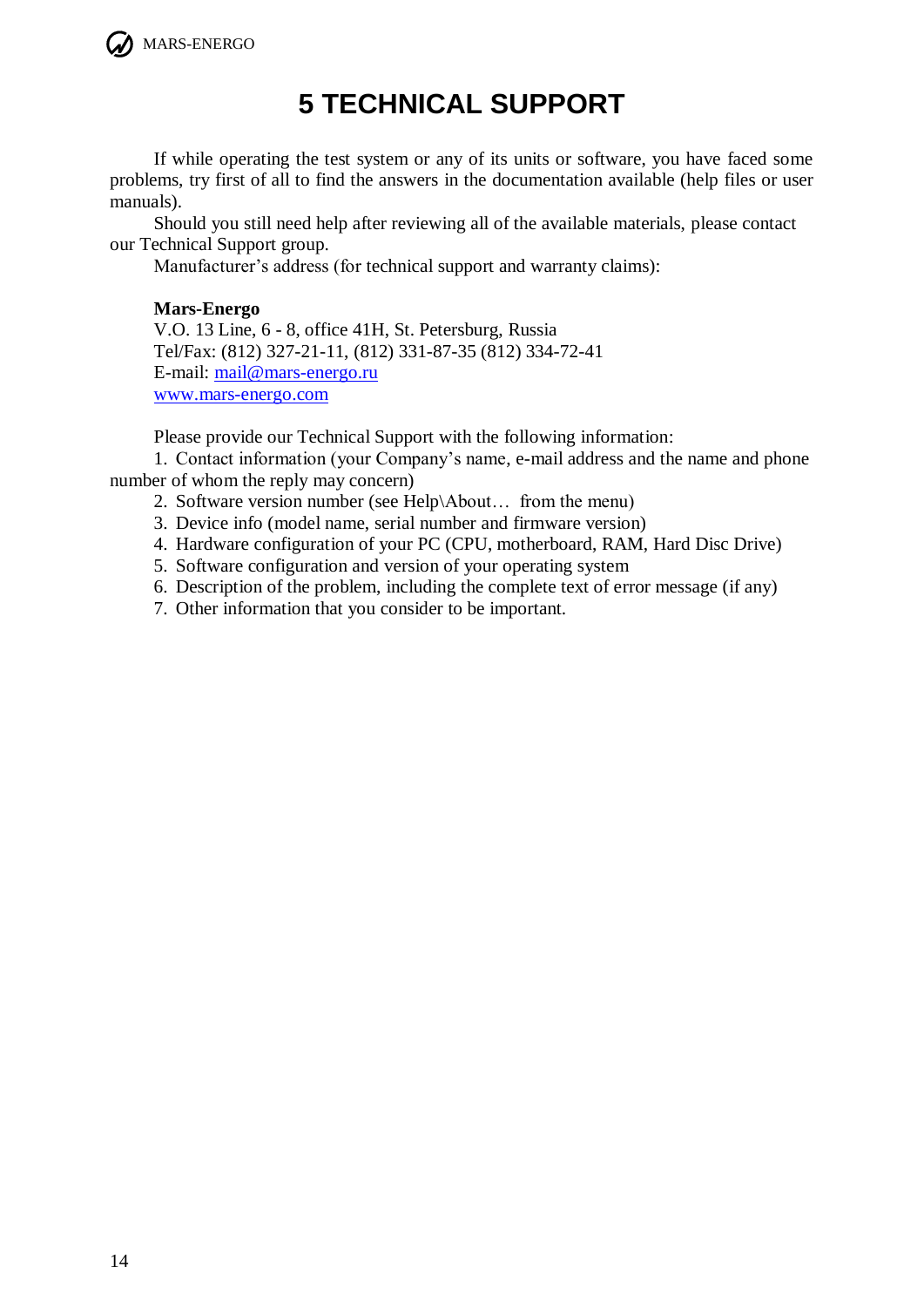<span id="page-13-0"></span>

# **5 TECHNICAL SUPPORT**

If while operating the test system or any of its units or software, you have faced some problems, try first of all to find the answers in the documentation available (help files or user manuals).

Should you still need help after reviewing all of the available materials, please contact our Technical Support group.

Manufacturer's address (for technical support and warranty claims):

#### **Mars-Energo**

V.O. 13 Line, 6 - 8, office 41H, St. Petersburg, Russia Tel/Fax: (812) 327-21-11, (812) 331-87-35 (812) 334-72-41 E-mail: [mail@mars-energo.ru](mailto:mail@mars-energo.ru) [www.mars-energo.com](http://www.mars-energo.com/)

Please provide our Technical Support with the following information:

1. Contact information (your Company's name, e-mail address and the name and phone number of whom the reply may concern)

- 2. Software version number (see Help\About… from the menu)
- 3. Device info (model name, serial number and firmware version)
- 4. Hardware configuration of your PC (CPU, motherboard, RAM, Hard Disc Drive)
- 5. Software configuration and version of your operating system
- 6. Description of the problem, including the complete text of error message (if any)
- 7. Other information that you consider to be important.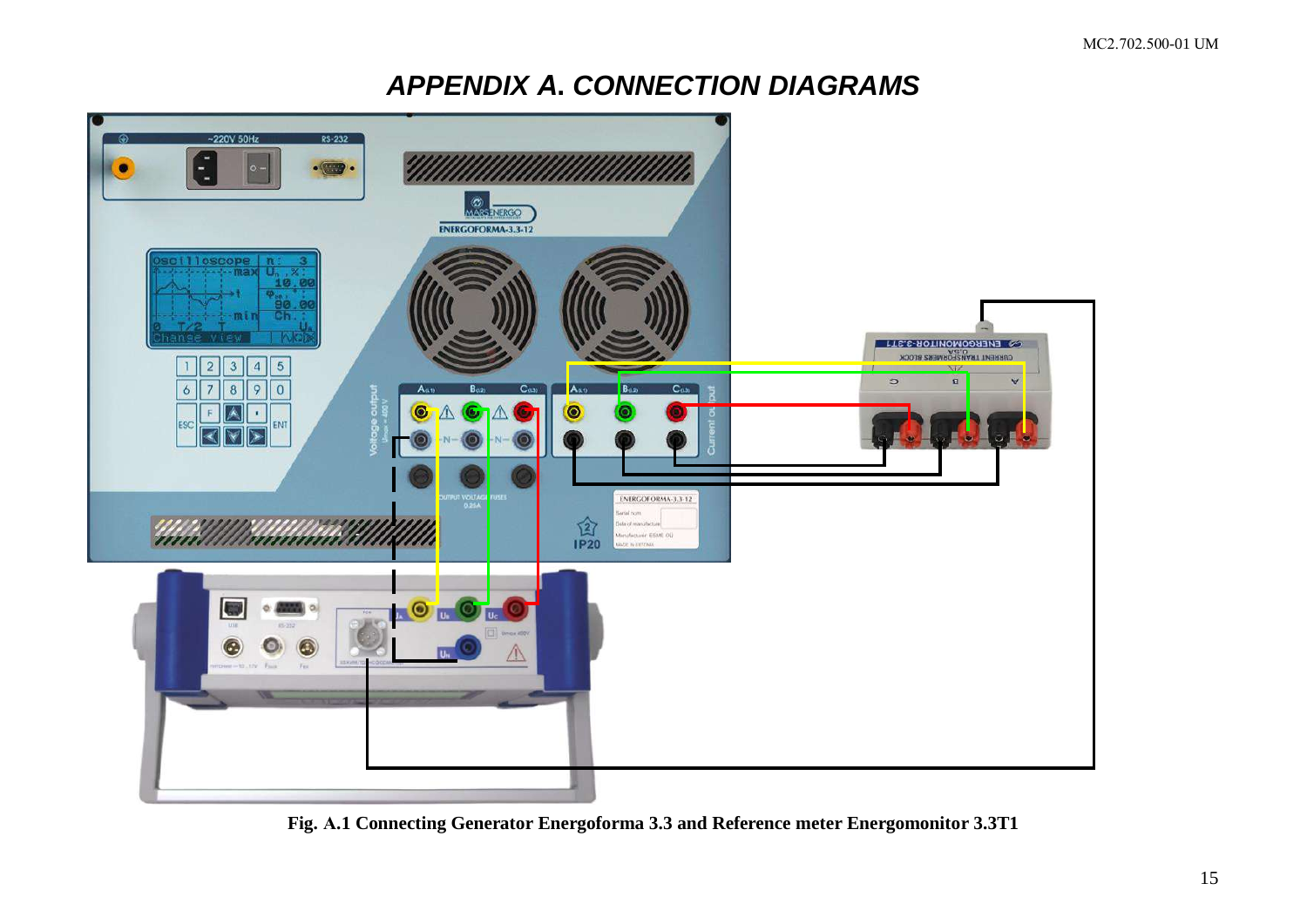## **APPENDIX A. CONNECTION DIAGRAMS**

<span id="page-14-0"></span>

Fig. A.1 Connecting Generator Energoforma 3.3 and Reference meter Energomonitor 3.3T1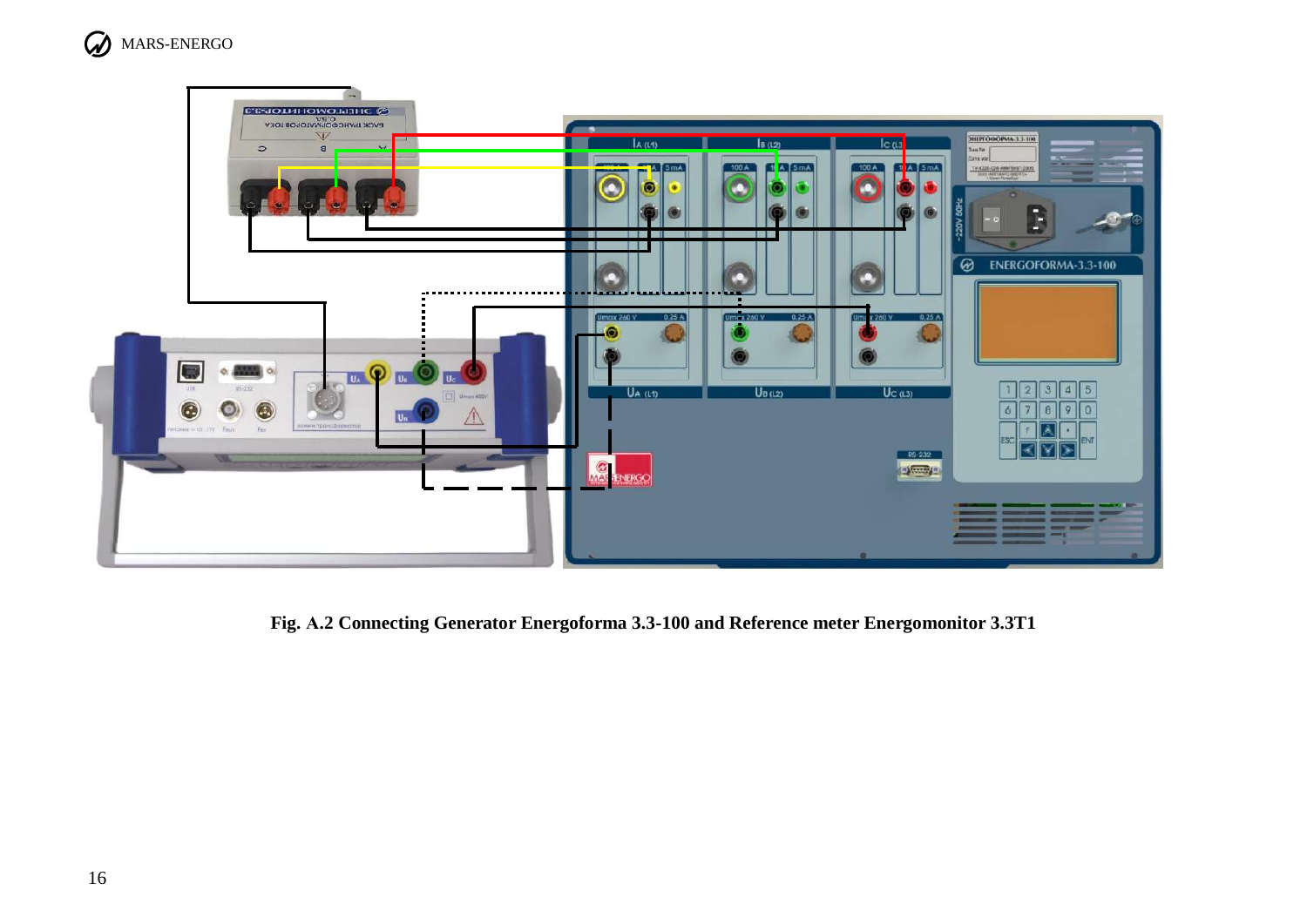



Fig. A.2 Connecting Generator Energoforma 3.3-100 and Reference meter Energomonitor 3.3T1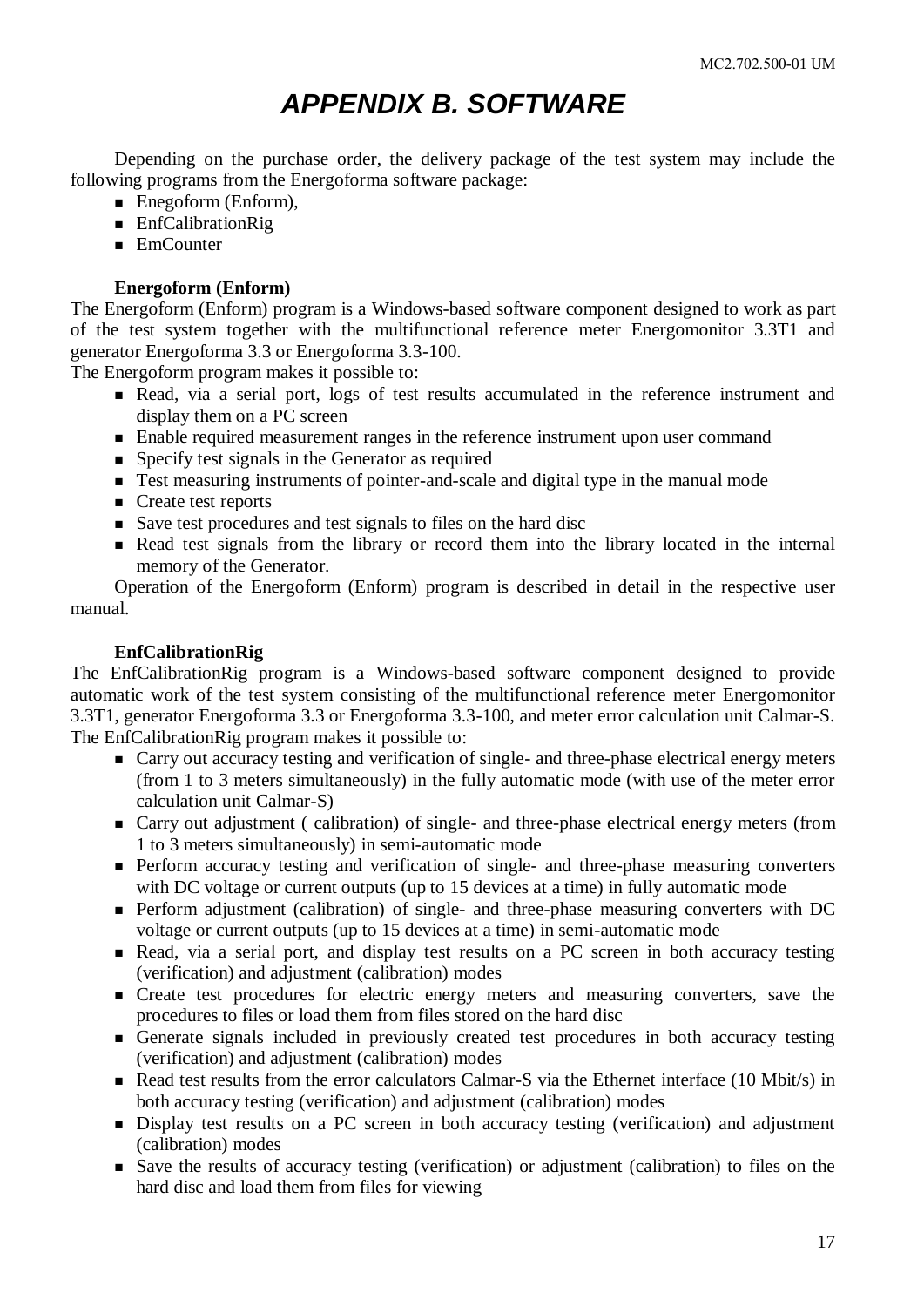## *APPENDIX B. SOFTWARE*

<span id="page-16-0"></span>Depending on the purchase order, the delivery package of the test system may include the following programs from the Energoforma software package:

- Enegoform (Enform),
- **EnfCalibrationRig**
- EmCounter

#### **Energoform (Enform)**

The Energoform (Enform) program is a Windows-based software component designed to work as part of the test system together with the multifunctional reference meter Energomonitor 3.3T1 and generator Energoforma 3.3 or Energoforma 3.3-100.

The Energoform program makes it possible to:

- Read, via a serial port, logs of test results accumulated in the reference instrument and display them on a PC screen
- Enable required measurement ranges in the reference instrument upon user command
- Specify test signals in the Generator as required
- Test measuring instruments of pointer-and-scale and digital type in the manual mode
- Create test reports
- Save test procedures and test signals to files on the hard disc
- Read test signals from the library or record them into the library located in the internal memory of the Generator.

Operation of the Energoform (Enform) program is described in detail in the respective user manual.

#### **EnfCalibrationRig**

The EnfCalibrationRig program is a Windows-based software component designed to provide automatic work of the test system consisting of the multifunctional reference meter Energomonitor 3.3T1, generator Energoforma 3.3 or Energoforma 3.3-100, and meter error calculation unit Calmar-S. The EnfCalibrationRig program makes it possible to:

- Carry out accuracy testing and verification of single- and three-phase electrical energy meters (from 1 to 3 meters simultaneously) in the fully automatic mode (with use of the meter error calculation unit Calmar-S)
- Carry out adjustment ( calibration) of single- and three-phase electrical energy meters (from 1 to 3 meters simultaneously) in semi-automatic mode
- **Perform accuracy testing and verification of single- and three-phase measuring converters** with DC voltage or current outputs (up to 15 devices at a time) in fully automatic mode
- **Perform adjustment (calibration) of single- and three-phase measuring converters with DC** voltage or current outputs (up to 15 devices at a time) in semi-automatic mode
- Read, via a serial port, and display test results on a PC screen in both accuracy testing (verification) and adjustment (calibration) modes
- **Exercise** Create test procedures for electric energy meters and measuring converters, save the procedures to files or load them from files stored on the hard disc
- Generate signals included in previously created test procedures in both accuracy testing (verification) and adjustment (calibration) modes
- Read test results from the error calculators Calmar-S via the Ethernet interface (10 Mbit/s) in both accuracy testing (verification) and adjustment (calibration) modes
- Display test results on a PC screen in both accuracy testing (verification) and adjustment (calibration) modes
- Save the results of accuracy testing (verification) or adjustment (calibration) to files on the hard disc and load them from files for viewing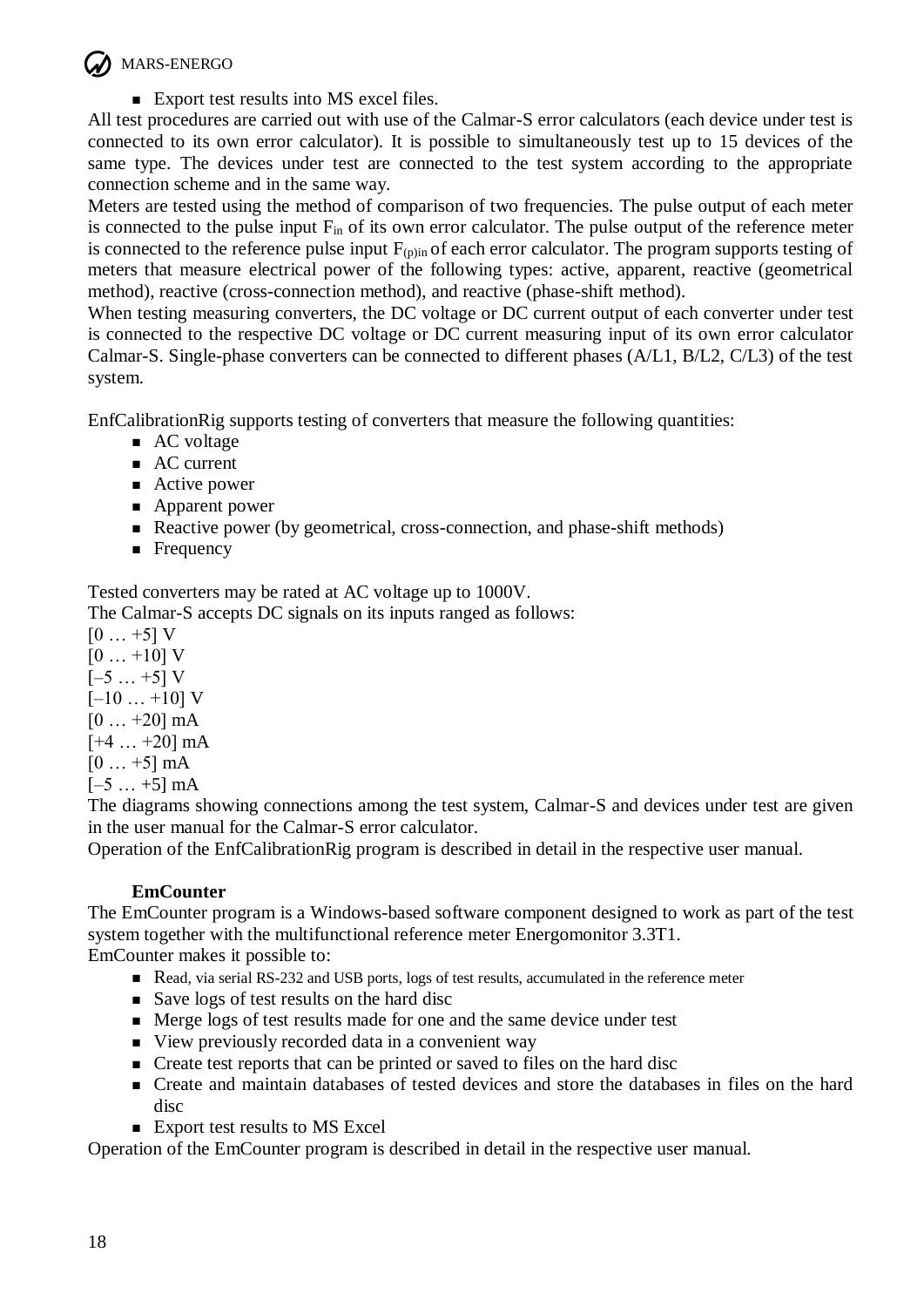

Export test results into MS excel files.

All test procedures are carried out with use of the Calmar-S error calculators (each device under test is connected to its own error calculator). It is possible to simultaneously test up to 15 devices of the same type. The devices under test are connected to the test system according to the appropriate connection scheme and in the same way.

Meters are tested using the method of comparison of two frequencies. The pulse output of each meter is connected to the pulse input Fin of its own error calculator. The pulse output of the reference meter is connected to the reference pulse input  $F_{(p)in}$  of each error calculator. The program supports testing of meters that measure electrical power of the following types: active, apparent, reactive (geometrical method), reactive (cross-connection method), and reactive (phase-shift method).

When testing measuring converters, the DC voltage or DC current output of each converter under test is connected to the respective DC voltage or DC current measuring input of its own error calculator Calmar-S. Single-phase converters can be connected to different phases (A/L1, B/L2, C/L3) of the test system.

EnfCalibrationRig supports testing of converters that measure the following quantities:

- AC voltage
- AC current
- Active power
- Apparent power
- Reactive power (by geometrical, cross-connection, and phase-shift methods)
- **Frequency**

Tested converters may be rated at AC voltage up to 1000V.

The Calmar-S accepts DC signals on its inputs ranged as follows:

 $[0 \dots +5] V$  $[0 \dots +10]$  V  $[-5 \dots +5] V$  $[-10... +10]$  V  $[0 \dots +20]$  mA  $[+4 ... +20]$  mA  $[0 \dots +5]$  mA  $[-5...+5]$  mA

The diagrams showing connections among the test system, Calmar-S and devices under test are given in the user manual for the Calmar-S error calculator.

Operation of the EnfCalibrationRig program is described in detail in the respective user manual.

## **EmCounter**

The EmCounter program is a Windows-based software component designed to work as part of the test system together with the multifunctional reference meter Energomonitor 3.3T1. EmCounter makes it possible to:

- Read, via serial RS-232 and USB ports, logs of test results, accumulated in the reference meter
- Save logs of test results on the hard disc
- Merge logs of test results made for one and the same device under test
- View previously recorded data in a convenient way
- **Exercise 1** Create test reports that can be printed or saved to files on the hard disc
- Create and maintain databases of tested devices and store the databases in files on the hard disc
- Export test results to MS Excel

Operation of the EmCounter program is described in detail in the respective user manual.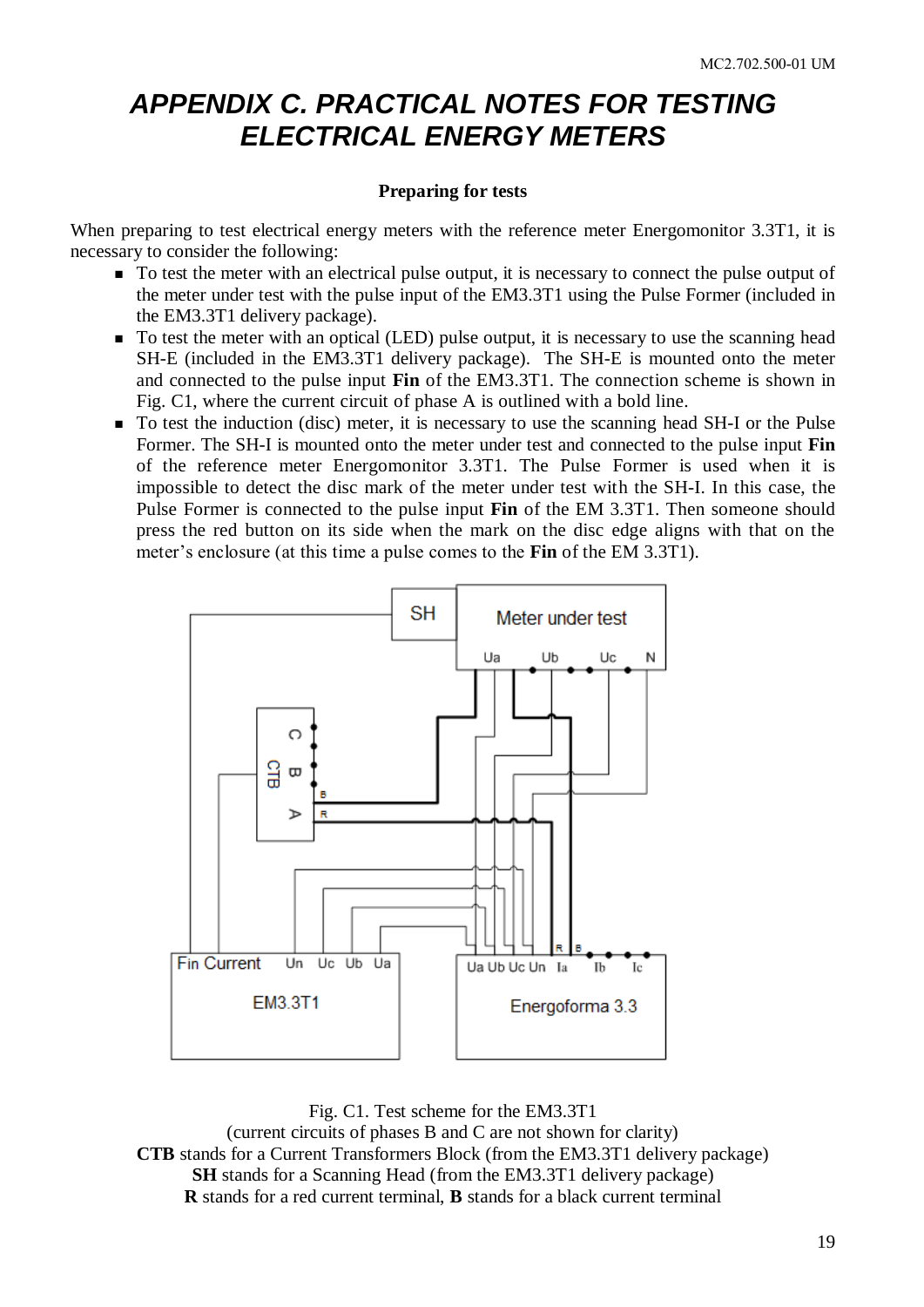# <span id="page-18-0"></span>*APPENDIX C. PRACTICAL NOTES FOR TESTING ELECTRICAL ENERGY METERS*

#### **Preparing for tests**

When preparing to test electrical energy meters with the reference meter Energomonitor 3.3T1, it is necessary to consider the following:

- $\blacksquare$  To test the meter with an electrical pulse output, it is necessary to connect the pulse output of the meter under test with the pulse input of the EM3.3T1 using the Pulse Former (included in the EM3.3T1 delivery package).
- To test the meter with an optical (LED) pulse output, it is necessary to use the scanning head SH-E (included in the EM3.3T1 delivery package). The SH-E is mounted onto the meter and connected to the pulse input **Fin** of the EM3.3T1. The connection scheme is shown in Fig. C1, where the current circuit of phase A is outlined with a bold line.
- To test the induction (disc) meter, it is necessary to use the scanning head SH-I or the Pulse Former. The SH-I is mounted onto the meter under test and connected to the pulse input **Fin**  of the reference meter Energomonitor 3.3T1. The Pulse Former is used when it is impossible to detect the disc mark of the meter under test with the SH-I. In this case, the Pulse Former is connected to the pulse input **Fin** of the EM 3.3T1. Then someone should press the red button on its side when the mark on the disc edge aligns with that on the meter's enclosure (at this time a pulse comes to the **Fin** of the EM 3.3T1).



Fig. C1. Test scheme for the EM3.3T1 (current circuits of phases B and C are not shown for clarity) **CTB** stands for a Current Transformers Block (from the EM3.3T1 delivery package) **SH** stands for a Scanning Head (from the EM3.3T1 delivery package) **R** stands for a red current terminal, **B** stands for a black current terminal